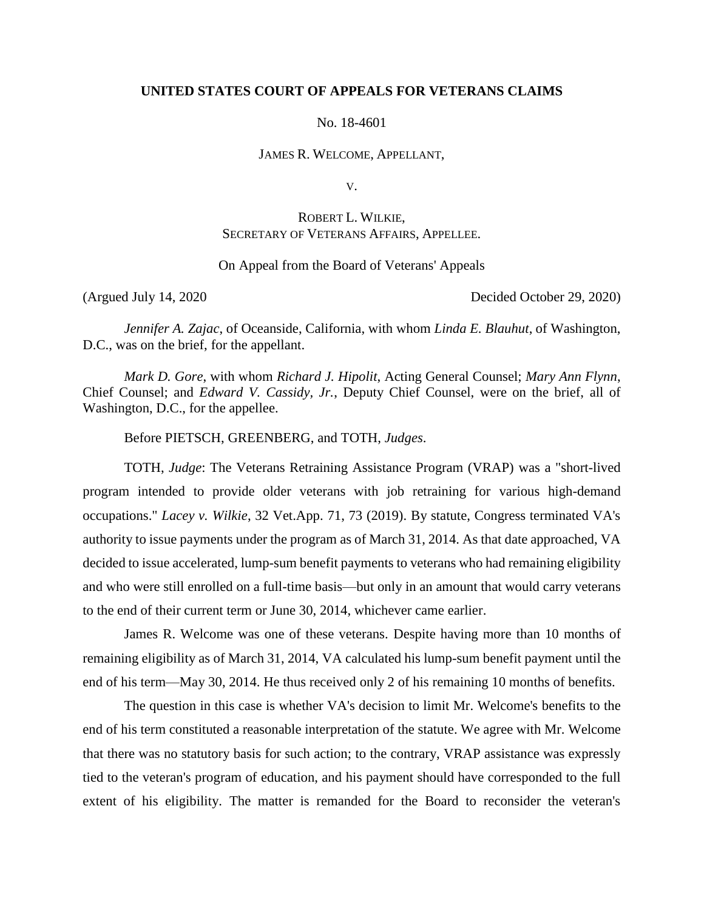## **UNITED STATES COURT OF APPEALS FOR VETERANS CLAIMS**

No. 18-4601

JAMES R. WELCOME, APPELLANT,

V.

# ROBERT L. WILKIE, SECRETARY OF VETERANS AFFAIRS, APPELLEE.

On Appeal from the Board of Veterans' Appeals

(Argued July 14, 2020 Decided October 29, 2020)

*Jennifer A. Zajac*, of Oceanside, California, with whom *Linda E. Blauhut*, of Washington, D.C., was on the brief, for the appellant.

*Mark D. Gore*, with whom *Richard J. Hipolit*, Acting General Counsel; *Mary Ann Flynn*, Chief Counsel; and *Edward V. Cassidy, Jr.*, Deputy Chief Counsel, were on the brief, all of Washington, D.C., for the appellee.

Before PIETSCH, GREENBERG, and TOTH, *Judges*.

TOTH, *Judge*: The Veterans Retraining Assistance Program (VRAP) was a "short-lived program intended to provide older veterans with job retraining for various high-demand occupations." *Lacey v. Wilkie*, 32 Vet.App. 71, 73 (2019). By statute, Congress terminated VA's authority to issue payments under the program as of March 31, 2014. As that date approached, VA decided to issue accelerated, lump-sum benefit payments to veterans who had remaining eligibility and who were still enrolled on a full-time basis—but only in an amount that would carry veterans to the end of their current term or June 30, 2014, whichever came earlier.

James R. Welcome was one of these veterans. Despite having more than 10 months of remaining eligibility as of March 31, 2014, VA calculated his lump-sum benefit payment until the end of his term—May 30, 2014. He thus received only 2 of his remaining 10 months of benefits.

The question in this case is whether VA's decision to limit Mr. Welcome's benefits to the end of his term constituted a reasonable interpretation of the statute. We agree with Mr. Welcome that there was no statutory basis for such action; to the contrary, VRAP assistance was expressly tied to the veteran's program of education, and his payment should have corresponded to the full extent of his eligibility. The matter is remanded for the Board to reconsider the veteran's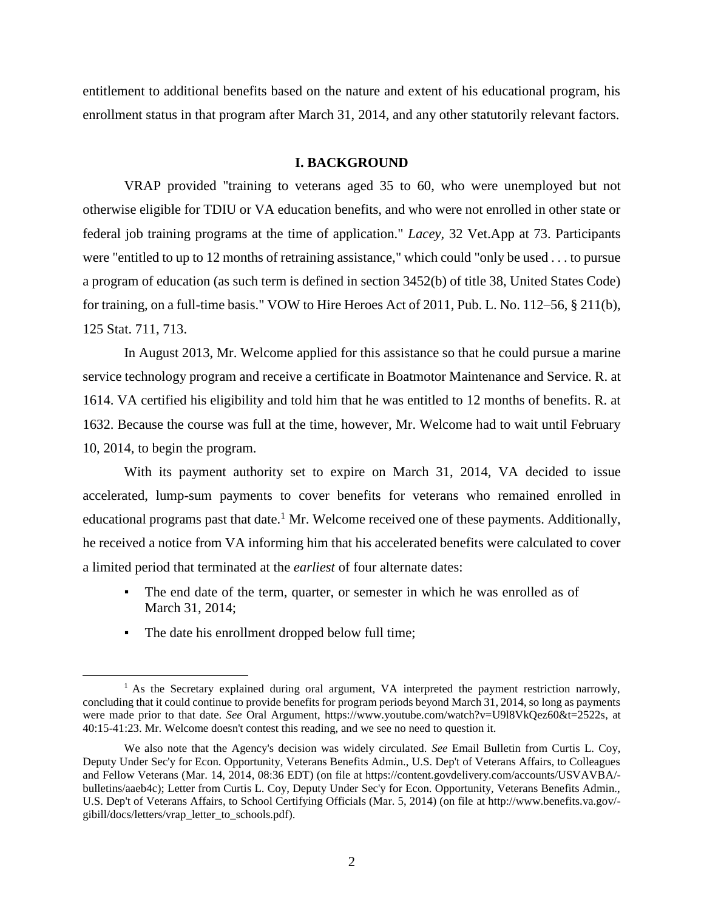entitlement to additional benefits based on the nature and extent of his educational program, his enrollment status in that program after March 31, 2014, and any other statutorily relevant factors.

#### **I. BACKGROUND**

VRAP provided "training to veterans aged 35 to 60, who were unemployed but not otherwise eligible for TDIU or VA education benefits, and who were not enrolled in other state or federal job training programs at the time of application." *Lacey,* 32 Vet.App at 73. Participants were "entitled to up to 12 months of retraining assistance," which could "only be used . . . to pursue a program of education (as such term is defined in section 3452(b) of title 38, United States Code) for training, on a full-time basis." VOW to Hire Heroes Act of 2011, Pub. L. No. 112–56, § 211(b), 125 Stat. 711, 713.

In August 2013, Mr. Welcome applied for this assistance so that he could pursue a marine service technology program and receive a certificate in Boatmotor Maintenance and Service. R. at 1614. VA certified his eligibility and told him that he was entitled to 12 months of benefits. R. at 1632. Because the course was full at the time, however, Mr. Welcome had to wait until February 10, 2014, to begin the program.

With its payment authority set to expire on March 31, 2014, VA decided to issue accelerated, lump-sum payments to cover benefits for veterans who remained enrolled in educational programs past that date.<sup>1</sup> Mr. Welcome received one of these payments. Additionally, he received a notice from VA informing him that his accelerated benefits were calculated to cover a limited period that terminated at the *earliest* of four alternate dates:

- The end date of the term, quarter, or semester in which he was enrolled as of March 31, 2014;
- The date his enrollment dropped below full time;

 $\overline{a}$ 

<sup>&</sup>lt;sup>1</sup> As the Secretary explained during oral argument, VA interpreted the payment restriction narrowly, concluding that it could continue to provide benefits for program periods beyond March 31, 2014, so long as payments were made prior to that date. *See* Oral Argument, https://www.youtube.com/watch?v=U9l8VkQez60&t=2522s, at 40:15-41:23. Mr. Welcome doesn't contest this reading, and we see no need to question it.

We also note that the Agency's decision was widely circulated. *See* Email Bulletin from Curtis L. Coy, Deputy Under Sec'y for Econ. Opportunity, Veterans Benefits Admin., U.S. Dep't of Veterans Affairs, to Colleagues and Fellow Veterans (Mar. 14, 2014, 08:36 EDT) (on file at https://content.govdelivery.com/accounts/USVAVBA/ bulletins/aaeb4c); Letter from Curtis L. Coy, Deputy Under Sec'y for Econ. Opportunity, Veterans Benefits Admin., U.S. Dep't of Veterans Affairs, to School Certifying Officials (Mar. 5, 2014) (on file at http://www.benefits.va.gov/ gibill/docs/letters/vrap\_letter\_to\_schools.pdf).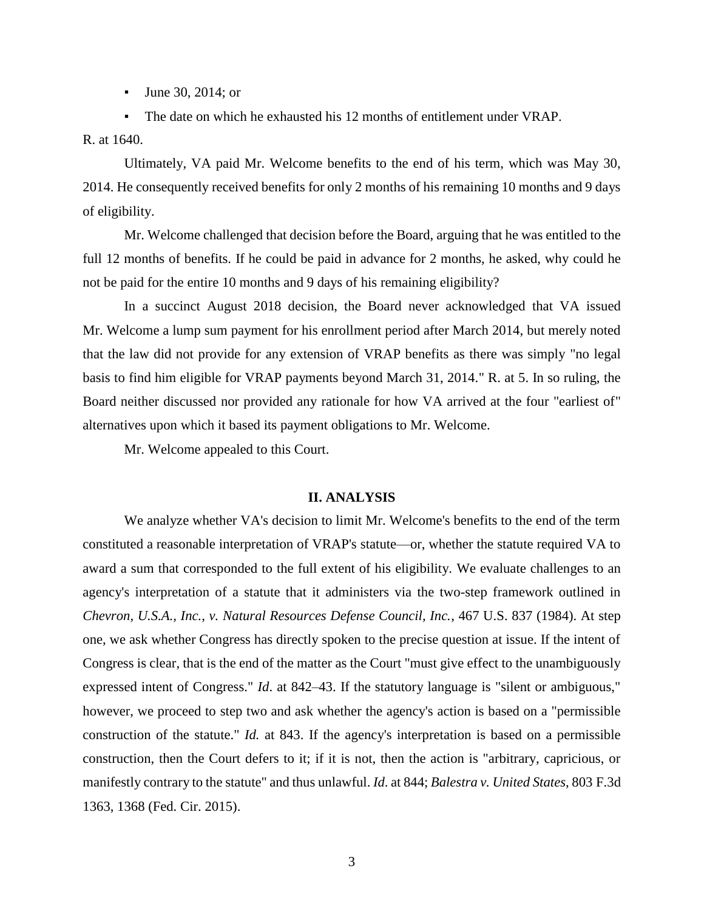▪ June 30, 2014; or

▪ The date on which he exhausted his 12 months of entitlement under VRAP.

R. at 1640.

Ultimately, VA paid Mr. Welcome benefits to the end of his term, which was May 30, 2014. He consequently received benefits for only 2 months of his remaining 10 months and 9 days of eligibility.

Mr. Welcome challenged that decision before the Board, arguing that he was entitled to the full 12 months of benefits. If he could be paid in advance for 2 months, he asked, why could he not be paid for the entire 10 months and 9 days of his remaining eligibility?

In a succinct August 2018 decision, the Board never acknowledged that VA issued Mr. Welcome a lump sum payment for his enrollment period after March 2014, but merely noted that the law did not provide for any extension of VRAP benefits as there was simply "no legal basis to find him eligible for VRAP payments beyond March 31, 2014." R. at 5. In so ruling, the Board neither discussed nor provided any rationale for how VA arrived at the four "earliest of" alternatives upon which it based its payment obligations to Mr. Welcome.

Mr. Welcome appealed to this Court.

#### **II. ANALYSIS**

We analyze whether VA's decision to limit Mr. Welcome's benefits to the end of the term constituted a reasonable interpretation of VRAP's statute—or, whether the statute required VA to award a sum that corresponded to the full extent of his eligibility. We evaluate challenges to an agency's interpretation of a statute that it administers via the two-step framework outlined in *Chevron, U.S.A., Inc., v. Natural Resources Defense Council, Inc.*, 467 U.S. 837 (1984). At step one, we ask whether Congress has directly spoken to the precise question at issue. If the intent of Congress is clear, that is the end of the matter as the Court "must give effect to the unambiguously expressed intent of Congress." *Id*. at 842–43. If the statutory language is "silent or ambiguous," however, we proceed to step two and ask whether the agency's action is based on a "permissible construction of the statute." *Id.* at 843. If the agency's interpretation is based on a permissible construction, then the Court defers to it; if it is not, then the action is "arbitrary, capricious, or manifestly contrary to the statute" and thus unlawful. *Id*. at 844; *Balestra v. United States*, 803 F.3d 1363, 1368 (Fed. Cir. 2015).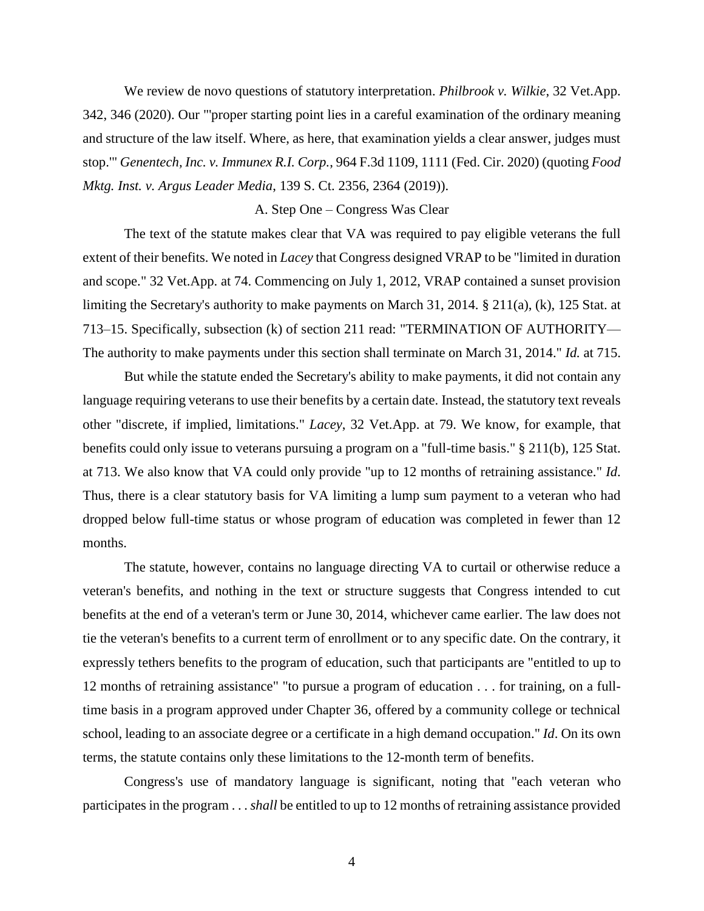We review de novo questions of statutory interpretation. *Philbrook v. Wilkie*, 32 Vet.App. 342, 346 (2020). Our "'proper starting point lies in a careful examination of the ordinary meaning and structure of the law itself. Where, as here, that examination yields a clear answer, judges must stop.'" *Genentech, Inc. v. Immunex R.I. Corp.*, 964 F.3d 1109, 1111 (Fed. Cir. 2020) (quoting *Food Mktg. Inst. v. Argus Leader Media*, 139 S. Ct. 2356, 2364 (2019)).

## A. Step One – Congress Was Clear

The text of the statute makes clear that VA was required to pay eligible veterans the full extent of their benefits. We noted in *Lacey* that Congress designed VRAP to be "limited in duration and scope." 32 Vet.App. at 74. Commencing on July 1, 2012, VRAP contained a sunset provision limiting the Secretary's authority to make payments on March 31, 2014. § 211(a), (k), 125 Stat. at 713–15. Specifically, subsection (k) of section 211 read: "TERMINATION OF AUTHORITY— The authority to make payments under this section shall terminate on March 31, 2014." *Id.* at 715.

But while the statute ended the Secretary's ability to make payments, it did not contain any language requiring veterans to use their benefits by a certain date. Instead, the statutory text reveals other "discrete, if implied, limitations." *Lacey*, 32 Vet.App. at 79. We know, for example, that benefits could only issue to veterans pursuing a program on a "full-time basis." § 211(b), 125 Stat. at 713. We also know that VA could only provide "up to 12 months of retraining assistance." *Id*. Thus, there is a clear statutory basis for VA limiting a lump sum payment to a veteran who had dropped below full-time status or whose program of education was completed in fewer than 12 months.

The statute, however, contains no language directing VA to curtail or otherwise reduce a veteran's benefits, and nothing in the text or structure suggests that Congress intended to cut benefits at the end of a veteran's term or June 30, 2014, whichever came earlier. The law does not tie the veteran's benefits to a current term of enrollment or to any specific date. On the contrary, it expressly tethers benefits to the program of education, such that participants are "entitled to up to 12 months of retraining assistance" "to pursue a program of education . . . for training, on a fulltime basis in a program approved under Chapter 36, offered by a community college or technical school, leading to an associate degree or a certificate in a high demand occupation." *Id*. On its own terms, the statute contains only these limitations to the 12-month term of benefits.

Congress's use of mandatory language is significant, noting that "each veteran who participates in the program . . . *shall* be entitled to up to 12 months of retraining assistance provided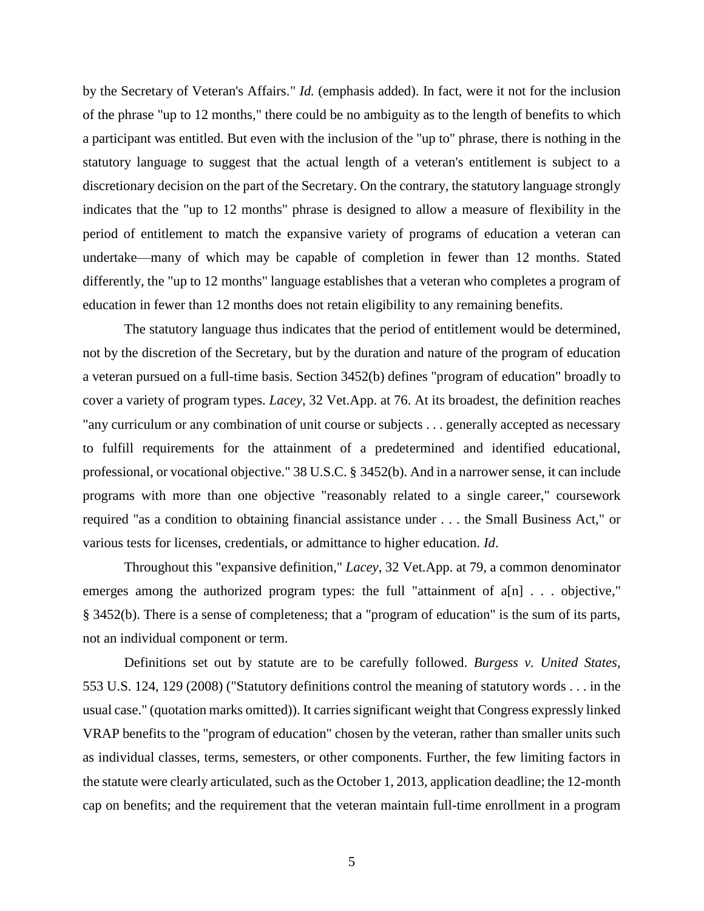by the Secretary of Veteran's Affairs." *Id.* (emphasis added). In fact, were it not for the inclusion of the phrase "up to 12 months," there could be no ambiguity as to the length of benefits to which a participant was entitled. But even with the inclusion of the "up to" phrase, there is nothing in the statutory language to suggest that the actual length of a veteran's entitlement is subject to a discretionary decision on the part of the Secretary. On the contrary, the statutory language strongly indicates that the "up to 12 months" phrase is designed to allow a measure of flexibility in the period of entitlement to match the expansive variety of programs of education a veteran can undertake—many of which may be capable of completion in fewer than 12 months. Stated differently, the "up to 12 months" language establishes that a veteran who completes a program of education in fewer than 12 months does not retain eligibility to any remaining benefits.

The statutory language thus indicates that the period of entitlement would be determined, not by the discretion of the Secretary, but by the duration and nature of the program of education a veteran pursued on a full-time basis. Section 3452(b) defines "program of education" broadly to cover a variety of program types. *Lacey*, 32 Vet.App. at 76. At its broadest, the definition reaches "any curriculum or any combination of unit course or subjects . . . generally accepted as necessary to fulfill requirements for the attainment of a predetermined and identified educational, professional, or vocational objective." 38 U.S.C. § 3452(b). And in a narrower sense, it can include programs with more than one objective "reasonably related to a single career," coursework required "as a condition to obtaining financial assistance under . . . the Small Business Act," or various tests for licenses, credentials, or admittance to higher education. *Id*.

Throughout this "expansive definition," *Lacey*, 32 Vet.App. at 79, a common denominator emerges among the authorized program types: the full "attainment of a[n] . . . objective," § 3452(b). There is a sense of completeness; that a "program of education" is the sum of its parts, not an individual component or term.

Definitions set out by statute are to be carefully followed. *Burgess v. United States*, 553 U.S. 124, 129 (2008) ("Statutory definitions control the meaning of statutory words . . . in the usual case." (quotation marks omitted)). It carries significant weight that Congress expressly linked VRAP benefits to the "program of education" chosen by the veteran, rather than smaller units such as individual classes, terms, semesters, or other components. Further, the few limiting factors in the statute were clearly articulated, such as the October 1, 2013, application deadline; the 12-month cap on benefits; and the requirement that the veteran maintain full-time enrollment in a program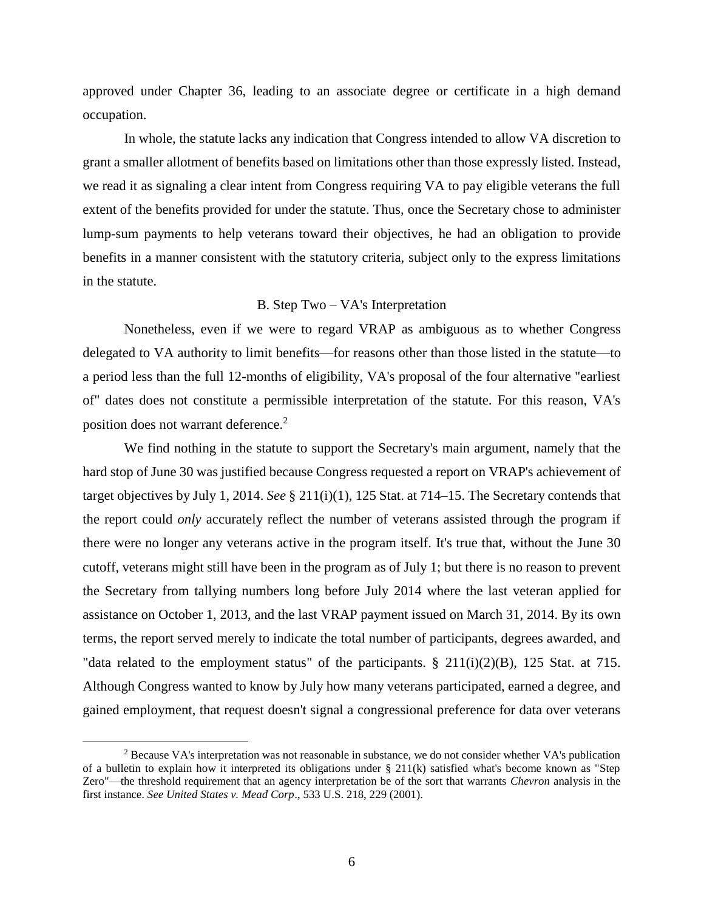approved under Chapter 36, leading to an associate degree or certificate in a high demand occupation.

In whole, the statute lacks any indication that Congress intended to allow VA discretion to grant a smaller allotment of benefits based on limitations other than those expressly listed. Instead, we read it as signaling a clear intent from Congress requiring VA to pay eligible veterans the full extent of the benefits provided for under the statute. Thus, once the Secretary chose to administer lump-sum payments to help veterans toward their objectives, he had an obligation to provide benefits in a manner consistent with the statutory criteria, subject only to the express limitations in the statute.

## B. Step Two – VA's Interpretation

Nonetheless, even if we were to regard VRAP as ambiguous as to whether Congress delegated to VA authority to limit benefits—for reasons other than those listed in the statute—to a period less than the full 12-months of eligibility, VA's proposal of the four alternative "earliest of" dates does not constitute a permissible interpretation of the statute. For this reason, VA's position does not warrant deference.<sup>2</sup>

We find nothing in the statute to support the Secretary's main argument, namely that the hard stop of June 30 was justified because Congress requested a report on VRAP's achievement of target objectives by July 1, 2014. *See* § 211(i)(1), 125 Stat. at 714–15. The Secretary contends that the report could *only* accurately reflect the number of veterans assisted through the program if there were no longer any veterans active in the program itself. It's true that, without the June 30 cutoff, veterans might still have been in the program as of July 1; but there is no reason to prevent the Secretary from tallying numbers long before July 2014 where the last veteran applied for assistance on October 1, 2013, and the last VRAP payment issued on March 31, 2014. By its own terms, the report served merely to indicate the total number of participants, degrees awarded, and "data related to the employment status" of the participants.  $\S$  211(i)(2)(B), 125 Stat. at 715. Although Congress wanted to know by July how many veterans participated, earned a degree, and gained employment, that request doesn't signal a congressional preference for data over veterans

 $\overline{a}$ 

<sup>&</sup>lt;sup>2</sup> Because VA's interpretation was not reasonable in substance, we do not consider whether VA's publication of a bulletin to explain how it interpreted its obligations under § 211(k) satisfied what's become known as "Step Zero"—the threshold requirement that an agency interpretation be of the sort that warrants *Chevron* analysis in the first instance. *See United States v. Mead Corp*., 533 U.S. 218, 229 (2001).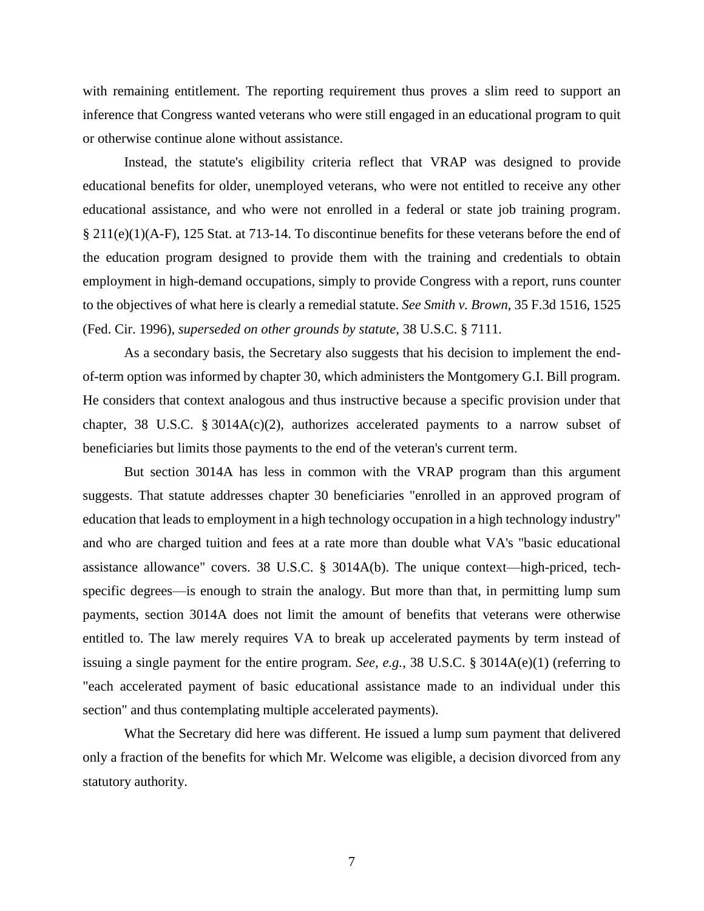with remaining entitlement. The reporting requirement thus proves a slim reed to support an inference that Congress wanted veterans who were still engaged in an educational program to quit or otherwise continue alone without assistance.

Instead, the statute's eligibility criteria reflect that VRAP was designed to provide educational benefits for older, unemployed veterans, who were not entitled to receive any other educational assistance, and who were not enrolled in a federal or state job training program. § 211(e)(1)(A-F), 125 Stat. at 713-14. To discontinue benefits for these veterans before the end of the education program designed to provide them with the training and credentials to obtain employment in high-demand occupations, simply to provide Congress with a report, runs counter to the objectives of what here is clearly a remedial statute. *See Smith v. Brown*, 35 F.3d 1516, 1525 (Fed. Cir. 1996), *superseded on other grounds by statute*, 38 U.S.C. § 7111.

As a secondary basis, the Secretary also suggests that his decision to implement the endof-term option was informed by chapter 30, which administers the Montgomery G.I. Bill program. He considers that context analogous and thus instructive because a specific provision under that chapter, 38 U.S.C. § 3014A $(c)(2)$ , authorizes accelerated payments to a narrow subset of beneficiaries but limits those payments to the end of the veteran's current term.

But section 3014A has less in common with the VRAP program than this argument suggests. That statute addresses chapter 30 beneficiaries "enrolled in an approved program of education that leads to employment in a high technology occupation in a high technology industry" and who are charged tuition and fees at a rate more than double what VA's "basic educational assistance allowance" covers. 38 U.S.C. § 3014A(b). The unique context—high-priced, techspecific degrees—is enough to strain the analogy. But more than that, in permitting lump sum payments, section 3014A does not limit the amount of benefits that veterans were otherwise entitled to. The law merely requires VA to break up accelerated payments by term instead of issuing a single payment for the entire program. *See, e.g.*, 38 U.S.C. § 3014A(e)(1) (referring to "each accelerated payment of basic educational assistance made to an individual under this section" and thus contemplating multiple accelerated payments).

What the Secretary did here was different. He issued a lump sum payment that delivered only a fraction of the benefits for which Mr. Welcome was eligible, a decision divorced from any statutory authority.